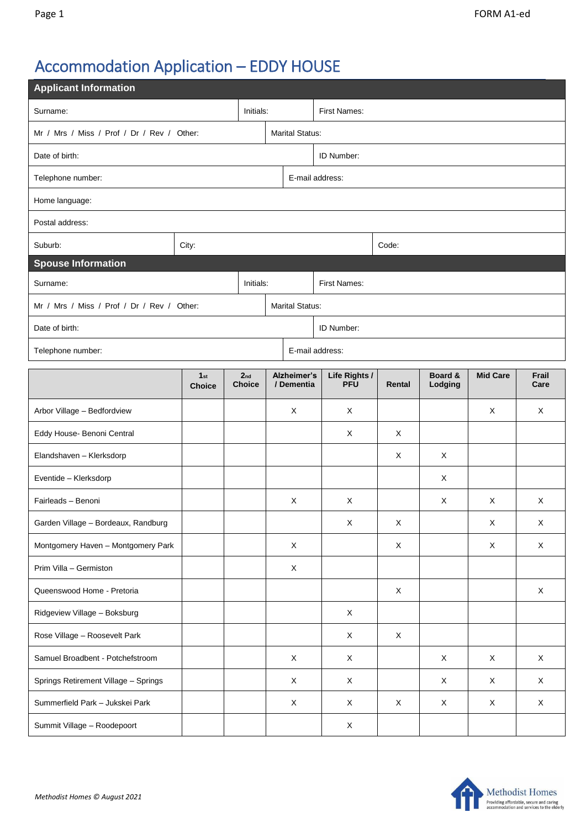# Accommodation Application – EDDY HOUSE

| <b>Applicant Information</b>               |                                  |                        |                                  |                           |                             |             |                    |                 |               |  |  |
|--------------------------------------------|----------------------------------|------------------------|----------------------------------|---------------------------|-----------------------------|-------------|--------------------|-----------------|---------------|--|--|
| Surname:                                   |                                  |                        | Initials:                        | First Names:              |                             |             |                    |                 |               |  |  |
| Mr / Mrs / Miss / Prof / Dr / Rev / Other: |                                  | <b>Marital Status:</b> |                                  |                           |                             |             |                    |                 |               |  |  |
| Date of birth:                             |                                  |                        |                                  |                           | ID Number:                  |             |                    |                 |               |  |  |
| Telephone number:                          |                                  |                        |                                  |                           | E-mail address:             |             |                    |                 |               |  |  |
| Home language:                             |                                  |                        |                                  |                           |                             |             |                    |                 |               |  |  |
| Postal address:                            |                                  |                        |                                  |                           |                             |             |                    |                 |               |  |  |
| Suburb:                                    | City:                            |                        |                                  |                           | Code:                       |             |                    |                 |               |  |  |
| <b>Spouse Information</b>                  |                                  |                        |                                  |                           |                             |             |                    |                 |               |  |  |
| Surname:<br>Initials:                      |                                  |                        |                                  |                           | First Names:                |             |                    |                 |               |  |  |
| Mr / Mrs / Miss / Prof / Dr / Rev / Other: |                                  |                        |                                  |                           | <b>Marital Status:</b>      |             |                    |                 |               |  |  |
| Date of birth:                             |                                  |                        |                                  |                           | ID Number:                  |             |                    |                 |               |  |  |
| Telephone number:                          |                                  |                        |                                  |                           | E-mail address:             |             |                    |                 |               |  |  |
|                                            | 1 <sub>st</sub><br><b>Choice</b> |                        | 2 <sub>nd</sub><br><b>Choice</b> | Alzheimer's<br>/ Dementia | Life Rights /<br><b>PFU</b> | Rental      | Board &<br>Lodging | <b>Mid Care</b> | Frail<br>Care |  |  |
| Arbor Village - Bedfordview                |                                  |                        |                                  | X                         | X                           |             |                    | X               | X             |  |  |
| Eddy House- Benoni Central                 |                                  |                        |                                  |                           | X                           | X           |                    |                 |               |  |  |
| Elandshaven - Klerksdorp                   |                                  |                        |                                  |                           |                             | X           | X                  |                 |               |  |  |
| Eventide - Klerksdorp                      |                                  |                        |                                  |                           |                             |             | X                  |                 |               |  |  |
| Fairleads - Benoni                         |                                  |                        |                                  | X                         | X                           |             | X                  | Χ               | X             |  |  |
| Garden Village - Bordeaux, Randburg        |                                  |                        |                                  |                           | X                           | X           |                    | X               | X             |  |  |
| Montgomery Haven - Montgomery Park         |                                  |                        |                                  | $\mathsf X$               |                             | $\mathsf X$ |                    | X               | $\mathsf X$   |  |  |
| Prim Villa - Germiston                     |                                  |                        |                                  | $\mathsf X$               |                             |             |                    |                 |               |  |  |
| Queenswood Home - Pretoria                 |                                  |                        |                                  |                           |                             | X           |                    |                 | $\mathsf{X}$  |  |  |
| Ridgeview Village - Boksburg               |                                  |                        |                                  |                           | X                           |             |                    |                 |               |  |  |
| Rose Village - Roosevelt Park              |                                  |                        |                                  |                           | X                           | X           |                    |                 |               |  |  |
| Samuel Broadbent - Potchefstroom           |                                  |                        |                                  | $\mathsf X$               | $\mathsf X$                 |             | $\mathsf X$        | X               | $\mathsf X$   |  |  |
| Springs Retirement Village - Springs       |                                  |                        |                                  | $\times$                  | X                           |             | X                  | X               | $\mathsf{X}$  |  |  |
| Summerfield Park - Jukskei Park            |                                  |                        |                                  | X                         | X                           | X           | $\mathsf X$        | X               | $\mathsf X$   |  |  |
| Summit Village - Roodepoort                |                                  |                        |                                  |                           | X                           |             |                    |                 |               |  |  |

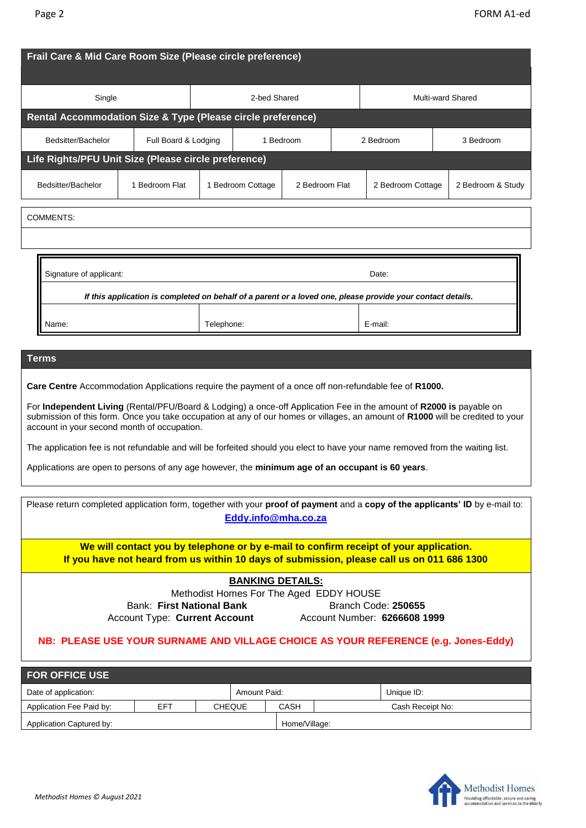| Frail Care & Mid Care Room Size (Please circle preference)                                                                                                                                                                                                                                                                                                                                                                                                                                                                                                                                                                                                  |                                                      |           |                   |                |  |                   |  |                   |  |
|-------------------------------------------------------------------------------------------------------------------------------------------------------------------------------------------------------------------------------------------------------------------------------------------------------------------------------------------------------------------------------------------------------------------------------------------------------------------------------------------------------------------------------------------------------------------------------------------------------------------------------------------------------------|------------------------------------------------------|-----------|-------------------|----------------|--|-------------------|--|-------------------|--|
| Single                                                                                                                                                                                                                                                                                                                                                                                                                                                                                                                                                                                                                                                      |                                                      |           | 2-bed Shared      |                |  | Multi-ward Shared |  |                   |  |
| Rental Accommodation Size & Type (Please circle preference)                                                                                                                                                                                                                                                                                                                                                                                                                                                                                                                                                                                                 |                                                      |           |                   |                |  |                   |  |                   |  |
| Bedsitter/Bachelor                                                                                                                                                                                                                                                                                                                                                                                                                                                                                                                                                                                                                                          | Full Board & Lodging                                 | 1 Bedroom |                   |                |  | 2 Bedroom         |  | 3 Bedroom         |  |
|                                                                                                                                                                                                                                                                                                                                                                                                                                                                                                                                                                                                                                                             | Life Rights/PFU Unit Size (Please circle preference) |           |                   |                |  |                   |  |                   |  |
| Bedsitter/Bachelor                                                                                                                                                                                                                                                                                                                                                                                                                                                                                                                                                                                                                                          | 1 Bedroom Flat                                       |           | 1 Bedroom Cottage | 2 Bedroom Flat |  | 2 Bedroom Cottage |  | 2 Bedroom & Study |  |
| <b>COMMENTS:</b>                                                                                                                                                                                                                                                                                                                                                                                                                                                                                                                                                                                                                                            |                                                      |           |                   |                |  |                   |  |                   |  |
|                                                                                                                                                                                                                                                                                                                                                                                                                                                                                                                                                                                                                                                             |                                                      |           |                   |                |  |                   |  |                   |  |
| Signature of applicant:<br>Date:<br>If this application is completed on behalf of a parent or a loved one, please provide your contact details.<br>Telephone:<br>E-mail:<br>Name:                                                                                                                                                                                                                                                                                                                                                                                                                                                                           |                                                      |           |                   |                |  |                   |  |                   |  |
| Terms<br>Care Centre Accommodation Applications require the payment of a once off non-refundable fee of R1000.<br>For Independent Living (Rental/PFU/Board & Lodging) a once-off Application Fee in the amount of R2000 is payable on<br>submission of this form. Once you take occupation at any of our homes or villages, an amount of R1000 will be credited to your<br>account in your second month of occupation.<br>The application fee is not refundable and will be forfeited should you elect to have your name removed from the waiting list.<br>Applications are open to persons of any age however, the minimum age of an occupant is 60 years. |                                                      |           |                   |                |  |                   |  |                   |  |
| Please return completed application form, together with your proof of payment and a copy of the applicants' ID by e-mail to:<br>Eddy.info@mha.co.za                                                                                                                                                                                                                                                                                                                                                                                                                                                                                                         |                                                      |           |                   |                |  |                   |  |                   |  |

**We will contact you by telephone or by e-mail to confirm receipt of your application. If you have not heard from us within 10 days of submission, please call us on 011 686 1300** 

#### **BANKING DETAILS:**

Methodist Homes For The Aged EDDY HOUSE Bank: First National Bank **Branch Code: 250655** 

Account Type: **Current Account** Account Number: **6266608 1999** 

## **NB: PLEASE USE YOUR SURNAME AND VILLAGE CHOICE AS YOUR REFERENCE (e.g. Jones-Eddy)**

| <b>FOR OFFICE USE</b>                |     |  |               |               |                  |            |  |  |  |
|--------------------------------------|-----|--|---------------|---------------|------------------|------------|--|--|--|
| Date of application:<br>Amount Paid: |     |  |               |               |                  | Unique ID: |  |  |  |
| Application Fee Paid by:             | EFT |  | <b>CHEQUE</b> | CASH          | Cash Receipt No: |            |  |  |  |
| Application Captured by:             |     |  |               | Home/Village: |                  |            |  |  |  |

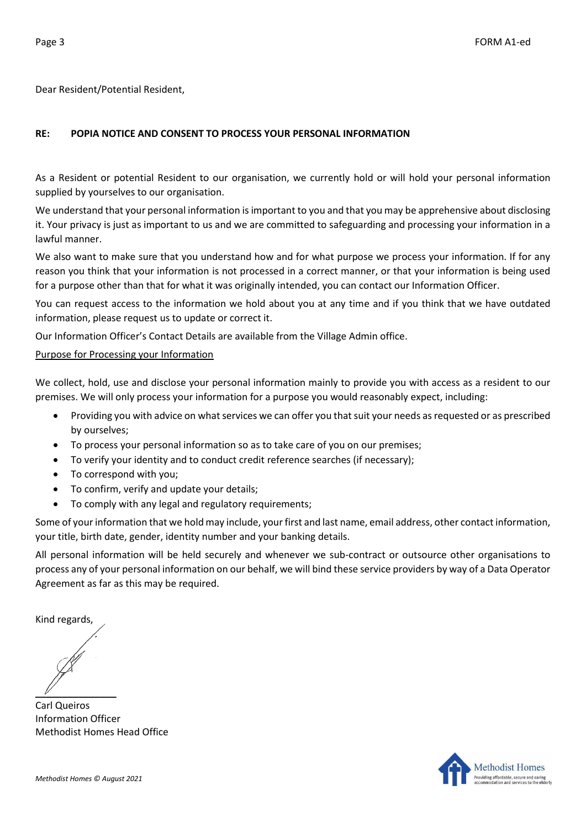Dear Resident/Potential Resident,

## **RE: POPIA NOTICE AND CONSENT TO PROCESS YOUR PERSONAL INFORMATION**

As a Resident or potential Resident to our organisation, we currently hold or will hold your personal information supplied by yourselves to our organisation.

We understand that your personal information is important to you and that you may be apprehensive about disclosing it. Your privacy is just as important to us and we are committed to safeguarding and processing your information in a lawful manner.

We also want to make sure that you understand how and for what purpose we process your information. If for any reason you think that your information is not processed in a correct manner, or that your information is being used for a purpose other than that for what it was originally intended, you can contact our Information Officer.

You can request access to the information we hold about you at any time and if you think that we have outdated information, please request us to update or correct it.

Our Information Officer's Contact Details are available from the Village Admin office.

#### Purpose for Processing your Information

We collect, hold, use and disclose your personal information mainly to provide you with access as a resident to our premises. We will only process your information for a purpose you would reasonably expect, including:

- Providing you with advice on what services we can offer you that suit your needs as requested or as prescribed by ourselves;
- To process your personal information so as to take care of you on our premises;
- To verify your identity and to conduct credit reference searches (if necessary);
- To correspond with you;
- To confirm, verify and update your details;
- To comply with any legal and regulatory requirements;

Some of your information that we hold may include, your first and last name, email address, other contact information, your title, birth date, gender, identity number and your banking details.

All personal information will be held securely and whenever we sub-contract or outsource other organisations to process any of your personal information on our behalf, we will bind these service providers by way of a Data Operator Agreement as far as this may be required.

Kind regards,

 $\mathscr{U}$ 

Carl Queiros Information Officer Methodist Homes Head Office